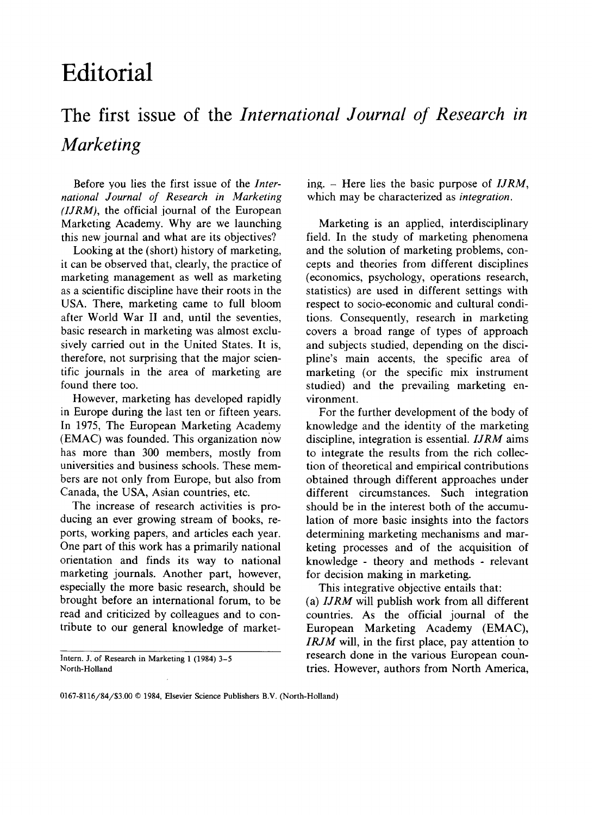## Editorial

## The first issue of the International Journal of Research in Marketing

Before you lies the first issue of the International Journal of Research in Marketing  $(IJRM)$ , the official journal of the European Marketing Academy. Why are we launching this new journal and what are its objectives?

Looking at the (short) history of marketing, it can be observed that, clearly, the practice of marketing management as well as marketing as a scientific discipline have their roots in the USA. There, marketing came to full bloom after World War II and, until the seventies, basic research in marketing was almost exclusively carried out in the United States. It is, therefore, not surprising that the major scientific journals in the area of marketing are found there too.

However, marketing has developed rapidly in Europe during the last ten or fifteen years. In 1975, The European Marketing Academy (EMAC) was founded. This organization now has more than 300 members, mostly from universities and business schools. These members are not only from Europe, but also from Canada, the USA, Asian countries, etc.

The increase of research activities is producing an ever growing stream of books, reports, working papers, and articles each year. One part of this work has a primarily national orientation and finds its way to national marketing journals. Another part, however, especially the more basic research, should be brought before an international forum, to be read and criticized by colleagues and to contribute to our general knowledge of market-

Intern. J. of Research in Marketing 1 (1984) 3-5 North-Holland

ing.  $-$  Here lies the basic purpose of *IJRM*, which may be characterized as *integration*.

Marketing is an applied, interdisciplinary field. In the study of marketing phenomena and the solution of marketing problems, concepts and theories from different disciplines (economics, psychology, operations research, statistics) are used in different settings with respect to socio-economic and cultural conditions. Consequently, research in marketing covers a broad range of types of approach and subjects studied, depending on the discipline's main accents, the specific area of marketing (or the specific mix instrument studied) and the prevailing marketing environment.

For the further development of the body of knowledge and the identity of the marketing discipline, integration is essential. IJRM aims to integrate the results from the rich collection of theoretical and empirical contributions obtained through different approaches under different circumstances. Such integration should be in the interest both of the accumulation of more basic insights into the factors determining marketing mechanisms and marketing processes and of the acquisition of knowledge - theory and methods - relevant for decision making in marketing.

This integrative objective entails that: (a) IJRM will publish work from all different countries. As the official journal of the European Marketing Academy (EMAC), IRJM will, in the first place, pay attention to research done in the various European countries. However, authors from North America,

<sup>0167-8116/84/\$3.00 0 1984,</sup> Elsevier Science Publishers B.V. (North-Holland)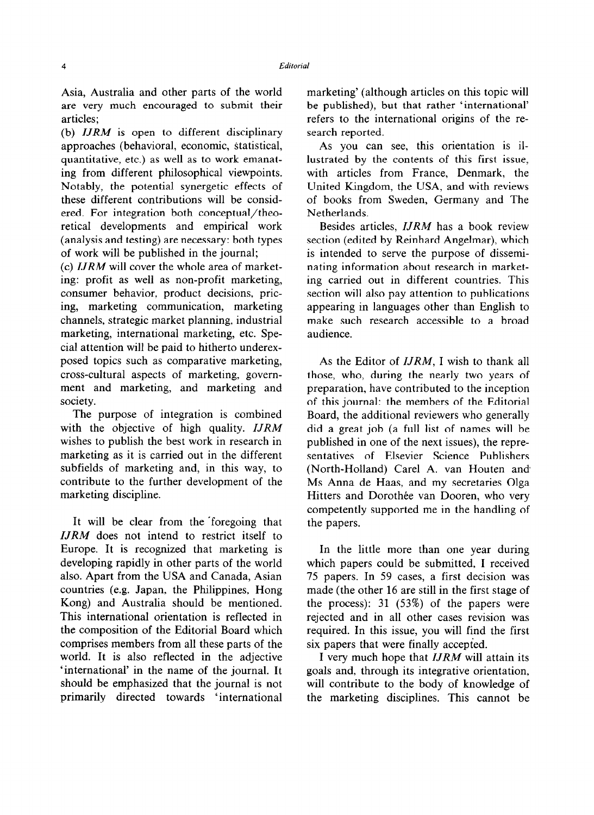Asia, Australia and other parts of the world are very much encouraged to submit their articles;

(b)  $IJRM$  is open to different disciplinary approaches (behavioral, economic, statistical, quantitative, etc.) as well as to work emanating from different philosophical viewpoints. Notably, the potential synergetic effects of these different contributions will be considered. For integration both conceptual/theoretical developments and empirical work (analysis and testing) are necessary: both types of work will be published in the journal;

(c) IJRM will cover the whole area of marketing: profit as well as non-profit marketing, consumer behavior, product decisions, pricing, marketing communication, marketing channels, strategic market planning, industrial marketing, international marketing, etc. Special attention will be paid to hitherto underexposed topics such as comparative marketing, cross-cultural aspects of marketing, government and marketing, and marketing and society.

The purpose of integration is combined with the objective of high quality. **IJRM** wishes to publish the best work in research in marketing as it is carried out in the different subfields of marketing and, in this way, to contribute to the further development of the marketing discipline.

It will be clear from the 'foregoing that IJRM does not intend to restrict itself to Europe. It is recognized that marketing is developing rapidly in other parts of the world also. Apart from the USA and Canada, Asian countries (e.g. Japan, the Philippines, Hong Kong) and Australia should be mentioned. This international orientation is reflected in the composition of the Editorial Board which comprises members from all these parts of the world. It is also reflected in the adjective 'international' in the name of the journal. It should be emphasized that the journal is not primarily directed towards 'international

marketing' (although articles on this topic will be published), but that rather 'international' refers to the international origins of the research reported.

As you can see, this orientation is illustrated by the contents of this first issue, with articles from France, Denmark, the United Kingdom, the USA, and with reviews of books from Sweden, Germany and The Netherlands.

Besides articles, IJRM has a book review section (edited by Reinhard Angelmar), which is intended to serve the purpose of disseminating information about research in marketing carried out in different countries. This section will also pay attention to publications appearing in languages other than English to make such research accessible to a broad audience.

As the Editor of *IJRM*, I wish to thank all those, who, during the nearly two years of preparation, have contributed to the inception of this journal: the members of the Editorial Board, the additional reviewers who generally did a great job (a full list of names will be published in one of the next issues), the representatives of Elsevier Science Publishers (North-Holland) Care1 A. van Houten and MS Anna de Haas, and my secretaries Olga Hitters and Dorothée van Dooren, who very competently supported me in the handling of the papers.

In the little more than one year during which papers could be submitted, I received 75 papers. In 59 cases, a first decision was made (the other 16 are still in the first stage of the process): 31 (53%) of the papers were rejected and in all other cases revision was required. In this issue, you will find the first six papers that were finally accepted.

I very much hope that IJRM will attain its goals and, through its integrative orientation, will contribute to the body of knowledge of the marketing disciplines. This cannot be